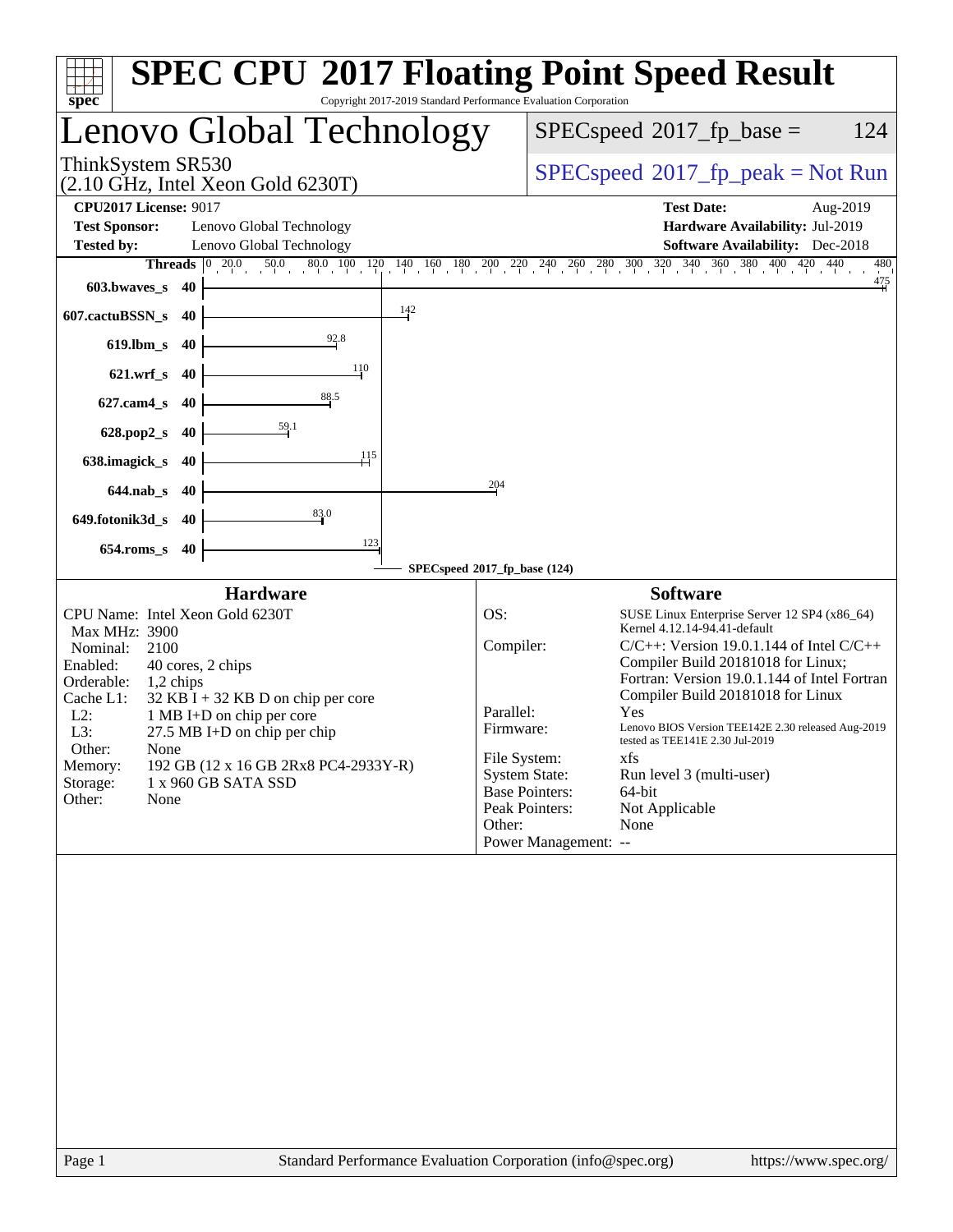| $spec^*$                                                                                                                                                                                                                                                                                                                                                                                                         | Copyright 2017-2019 Standard Performance Evaluation Corporation |                                                                                              |                                                                 | <b>SPEC CPU®2017 Floating Point Speed Result</b>                                                                                                                                                                                                                                                                                                                                                                                                   |
|------------------------------------------------------------------------------------------------------------------------------------------------------------------------------------------------------------------------------------------------------------------------------------------------------------------------------------------------------------------------------------------------------------------|-----------------------------------------------------------------|----------------------------------------------------------------------------------------------|-----------------------------------------------------------------|----------------------------------------------------------------------------------------------------------------------------------------------------------------------------------------------------------------------------------------------------------------------------------------------------------------------------------------------------------------------------------------------------------------------------------------------------|
| Lenovo Global Technology                                                                                                                                                                                                                                                                                                                                                                                         |                                                                 |                                                                                              |                                                                 | $SPEC speed^{\circ}2017$ _fp_base =<br>124                                                                                                                                                                                                                                                                                                                                                                                                         |
| ThinkSystem SR530<br>$(2.10 \text{ GHz}, \text{Intel Xeon Gold } 6230 \text{T})$                                                                                                                                                                                                                                                                                                                                 |                                                                 |                                                                                              | $SPEC speed^{\circ}2017\_fp\_peak = Not Run$                    |                                                                                                                                                                                                                                                                                                                                                                                                                                                    |
| <b>CPU2017 License: 9017</b>                                                                                                                                                                                                                                                                                                                                                                                     |                                                                 |                                                                                              |                                                                 | <b>Test Date:</b><br>Aug-2019                                                                                                                                                                                                                                                                                                                                                                                                                      |
| <b>Test Sponsor:</b><br>Lenovo Global Technology                                                                                                                                                                                                                                                                                                                                                                 |                                                                 |                                                                                              |                                                                 | Hardware Availability: Jul-2019                                                                                                                                                                                                                                                                                                                                                                                                                    |
| <b>Tested by:</b><br>Lenovo Global Technology<br> 0 20.0<br><b>Threads</b>                                                                                                                                                                                                                                                                                                                                       |                                                                 |                                                                                              |                                                                 | <b>Software Availability:</b> Dec-2018<br>480                                                                                                                                                                                                                                                                                                                                                                                                      |
| 603.bwaves_s<br>-40                                                                                                                                                                                                                                                                                                                                                                                              |                                                                 |                                                                                              |                                                                 | $0.0$ 50.0 80.0 100 120 140 160 180 200 220 240 260 280 300 320 340 360 380 400 420 440<br>$\frac{475}{4}$                                                                                                                                                                                                                                                                                                                                         |
| 607.cactuBSSN_s<br>-40                                                                                                                                                                                                                                                                                                                                                                                           | $\frac{142}{2}$                                                 |                                                                                              |                                                                 |                                                                                                                                                                                                                                                                                                                                                                                                                                                    |
| $619$ .lbm_s<br>40                                                                                                                                                                                                                                                                                                                                                                                               | 92.8                                                            |                                                                                              |                                                                 |                                                                                                                                                                                                                                                                                                                                                                                                                                                    |
| $621.wrf$ <sub>S</sub><br>40                                                                                                                                                                                                                                                                                                                                                                                     | 110                                                             |                                                                                              |                                                                 |                                                                                                                                                                                                                                                                                                                                                                                                                                                    |
| $627$ .cam $4_s$<br>40                                                                                                                                                                                                                                                                                                                                                                                           | 88.5                                                            |                                                                                              |                                                                 |                                                                                                                                                                                                                                                                                                                                                                                                                                                    |
| $\frac{59.1}{59}$<br>628.pop2_s<br>40                                                                                                                                                                                                                                                                                                                                                                            |                                                                 |                                                                                              |                                                                 |                                                                                                                                                                                                                                                                                                                                                                                                                                                    |
| 638.imagick_s<br>40                                                                                                                                                                                                                                                                                                                                                                                              | 115                                                             |                                                                                              |                                                                 |                                                                                                                                                                                                                                                                                                                                                                                                                                                    |
| $644$ .nab s<br>40                                                                                                                                                                                                                                                                                                                                                                                               |                                                                 | 204                                                                                          |                                                                 |                                                                                                                                                                                                                                                                                                                                                                                                                                                    |
| 649.fotonik3d_s<br>40                                                                                                                                                                                                                                                                                                                                                                                            | 83.0                                                            |                                                                                              |                                                                 |                                                                                                                                                                                                                                                                                                                                                                                                                                                    |
| $654$ .roms_s<br>40                                                                                                                                                                                                                                                                                                                                                                                              | 123                                                             |                                                                                              |                                                                 |                                                                                                                                                                                                                                                                                                                                                                                                                                                    |
|                                                                                                                                                                                                                                                                                                                                                                                                                  | SPECspeed®2017_fp_base (124)                                    |                                                                                              |                                                                 |                                                                                                                                                                                                                                                                                                                                                                                                                                                    |
| <b>Hardware</b><br>CPU Name: Intel Xeon Gold 6230T<br>Max MHz: 3900<br>Nominal:<br>2100<br>Enabled:<br>40 cores, 2 chips<br>Orderable:<br>1,2 chips<br>Cache L1:<br>$32$ KB I + 32 KB D on chip per core<br>$L2$ :<br>1 MB I+D on chip per core<br>L3:<br>27.5 MB I+D on chip per chip<br>Other:<br>None<br>192 GB (12 x 16 GB 2Rx8 PC4-2933Y-R)<br>Memory:<br>Storage:<br>1 x 960 GB SATA SSD<br>Other:<br>None |                                                                 | OS:<br>Compiler:<br>Parallel:<br>Firmware:<br>File System:<br><b>System State:</b><br>Other: | <b>Base Pointers:</b><br>Peak Pointers:<br>Power Management: -- | <b>Software</b><br>SUSE Linux Enterprise Server 12 SP4 (x86_64)<br>Kernel 4.12.14-94.41-default<br>$C/C++$ : Version 19.0.1.144 of Intel $C/C++$<br>Compiler Build 20181018 for Linux;<br>Fortran: Version 19.0.1.144 of Intel Fortran<br>Compiler Build 20181018 for Linux<br>Yes<br>Lenovo BIOS Version TEE142E 2.30 released Aug-2019<br>tested as TEE141E 2.30 Jul-2019<br>xfs<br>Run level 3 (multi-user)<br>64-bit<br>Not Applicable<br>None |
|                                                                                                                                                                                                                                                                                                                                                                                                                  |                                                                 |                                                                                              |                                                                 |                                                                                                                                                                                                                                                                                                                                                                                                                                                    |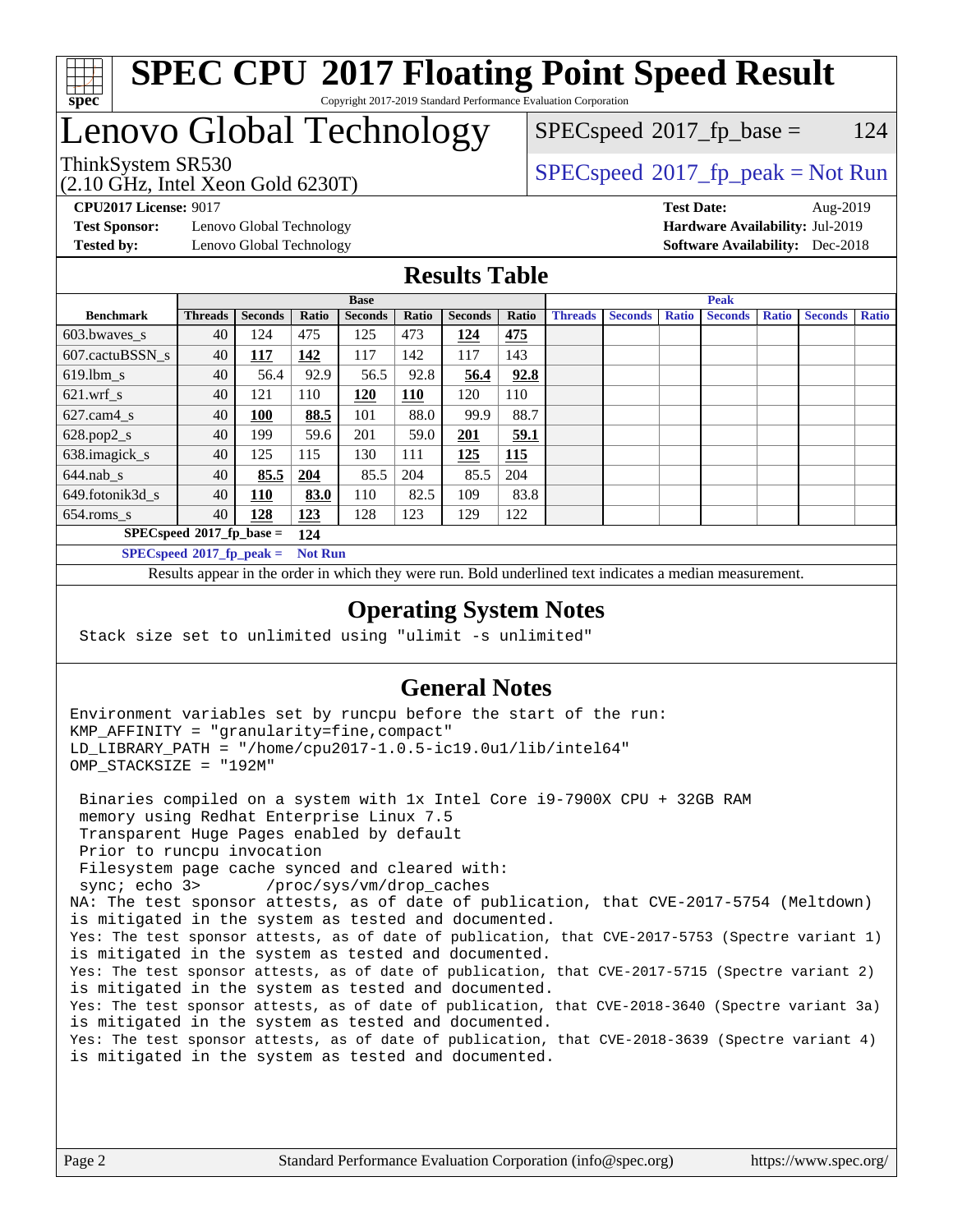

### **[SPEC CPU](http://www.spec.org/auto/cpu2017/Docs/result-fields.html#SPECCPU2017FloatingPointSpeedResult)[2017 Floating Point Speed Result](http://www.spec.org/auto/cpu2017/Docs/result-fields.html#SPECCPU2017FloatingPointSpeedResult)** Copyright 2017-2019 Standard Performance Evaluation Corporation

# Lenovo Global Technology

(2.10 GHz, Intel Xeon Gold 6230T)

 $SPEC speed^{\circ}2017\_fp\_base = 124$ 

### ThinkSystem SR530<br>  $SPEC speed^{\circ}2017$  [p\_peak = Not Run

**[Test Sponsor:](http://www.spec.org/auto/cpu2017/Docs/result-fields.html#TestSponsor)** Lenovo Global Technology **[Hardware Availability:](http://www.spec.org/auto/cpu2017/Docs/result-fields.html#HardwareAvailability)** Jul-2019 **[Tested by:](http://www.spec.org/auto/cpu2017/Docs/result-fields.html#Testedby)** Lenovo Global Technology **[Software Availability:](http://www.spec.org/auto/cpu2017/Docs/result-fields.html#SoftwareAvailability)** Dec-2018

**[CPU2017 License:](http://www.spec.org/auto/cpu2017/Docs/result-fields.html#CPU2017License)** 9017 **[Test Date:](http://www.spec.org/auto/cpu2017/Docs/result-fields.html#TestDate)** Aug-2019

### **[Results Table](http://www.spec.org/auto/cpu2017/Docs/result-fields.html#ResultsTable)**

|                          | <b>Base</b>                 |                |                |                |            |                | <b>Peak</b> |                |                |              |                |              |                |              |
|--------------------------|-----------------------------|----------------|----------------|----------------|------------|----------------|-------------|----------------|----------------|--------------|----------------|--------------|----------------|--------------|
| <b>Benchmark</b>         | <b>Threads</b>              | <b>Seconds</b> | Ratio          | <b>Seconds</b> | Ratio      | <b>Seconds</b> | Ratio       | <b>Threads</b> | <b>Seconds</b> | <b>Ratio</b> | <b>Seconds</b> | <b>Ratio</b> | <b>Seconds</b> | <b>Ratio</b> |
| 603.bwayes_s             | 40                          | 124            | 475            | 125            | 473        | 124            | 475         |                |                |              |                |              |                |              |
| 607.cactuBSSN s          | 40                          | <b>117</b>     | 142            | 117            | 142        | 117            | 143         |                |                |              |                |              |                |              |
| $619.$ lbm s             | 40                          | 56.4           | 92.9           | 56.5           | 92.8       | 56.4           | 92.8        |                |                |              |                |              |                |              |
| $621.wrf$ s              | 40                          | 121            | 110            | 120            | <u>110</u> | 120            | 110         |                |                |              |                |              |                |              |
| $627$ .cam $4 \text{ s}$ | 40                          | 100            | 88.5           | 101            | 88.0       | 99.9           | 88.7        |                |                |              |                |              |                |              |
| $628.pop2_s$             | 40                          | 199            | 59.6           | 201            | 59.0       | 201            | 59.1        |                |                |              |                |              |                |              |
| 638.imagick_s            | 40                          | 125            | 115            | 130            | 111        | 125            | 115         |                |                |              |                |              |                |              |
| $644$ .nab s             | 40                          | 85.5           | 204            | 85.5           | 204        | 85.5           | 204         |                |                |              |                |              |                |              |
| 649.fotonik3d_s          | 40                          | 110            | 83.0           | 110            | 82.5       | 109            | 83.8        |                |                |              |                |              |                |              |
| $654$ .roms_s            | 40                          | 128            | 123            | 128            | 123        | 129            | 122         |                |                |              |                |              |                |              |
|                          | $SPECspeed*2017_fp\_base =$ |                | 124            |                |            |                |             |                |                |              |                |              |                |              |
|                          | $SPECspeed*2017_fp\_peak =$ |                | <b>Not Run</b> |                |            |                |             |                |                |              |                |              |                |              |

Results appear in the [order in which they were run.](http://www.spec.org/auto/cpu2017/Docs/result-fields.html#RunOrder) Bold underlined text [indicates a median measurement](http://www.spec.org/auto/cpu2017/Docs/result-fields.html#Median).

### **[Operating System Notes](http://www.spec.org/auto/cpu2017/Docs/result-fields.html#OperatingSystemNotes)**

Stack size set to unlimited using "ulimit -s unlimited"

### **[General Notes](http://www.spec.org/auto/cpu2017/Docs/result-fields.html#GeneralNotes)**

Environment variables set by runcpu before the start of the run: KMP\_AFFINITY = "granularity=fine,compact" LD\_LIBRARY\_PATH = "/home/cpu2017-1.0.5-ic19.0u1/lib/intel64" OMP\_STACKSIZE = "192M"

 Binaries compiled on a system with 1x Intel Core i9-7900X CPU + 32GB RAM memory using Redhat Enterprise Linux 7.5 Transparent Huge Pages enabled by default Prior to runcpu invocation Filesystem page cache synced and cleared with: sync; echo 3> /proc/sys/vm/drop\_caches NA: The test sponsor attests, as of date of publication, that CVE-2017-5754 (Meltdown) is mitigated in the system as tested and documented. Yes: The test sponsor attests, as of date of publication, that CVE-2017-5753 (Spectre variant 1) is mitigated in the system as tested and documented. Yes: The test sponsor attests, as of date of publication, that CVE-2017-5715 (Spectre variant 2) is mitigated in the system as tested and documented. Yes: The test sponsor attests, as of date of publication, that CVE-2018-3640 (Spectre variant 3a) is mitigated in the system as tested and documented. Yes: The test sponsor attests, as of date of publication, that CVE-2018-3639 (Spectre variant 4) is mitigated in the system as tested and documented.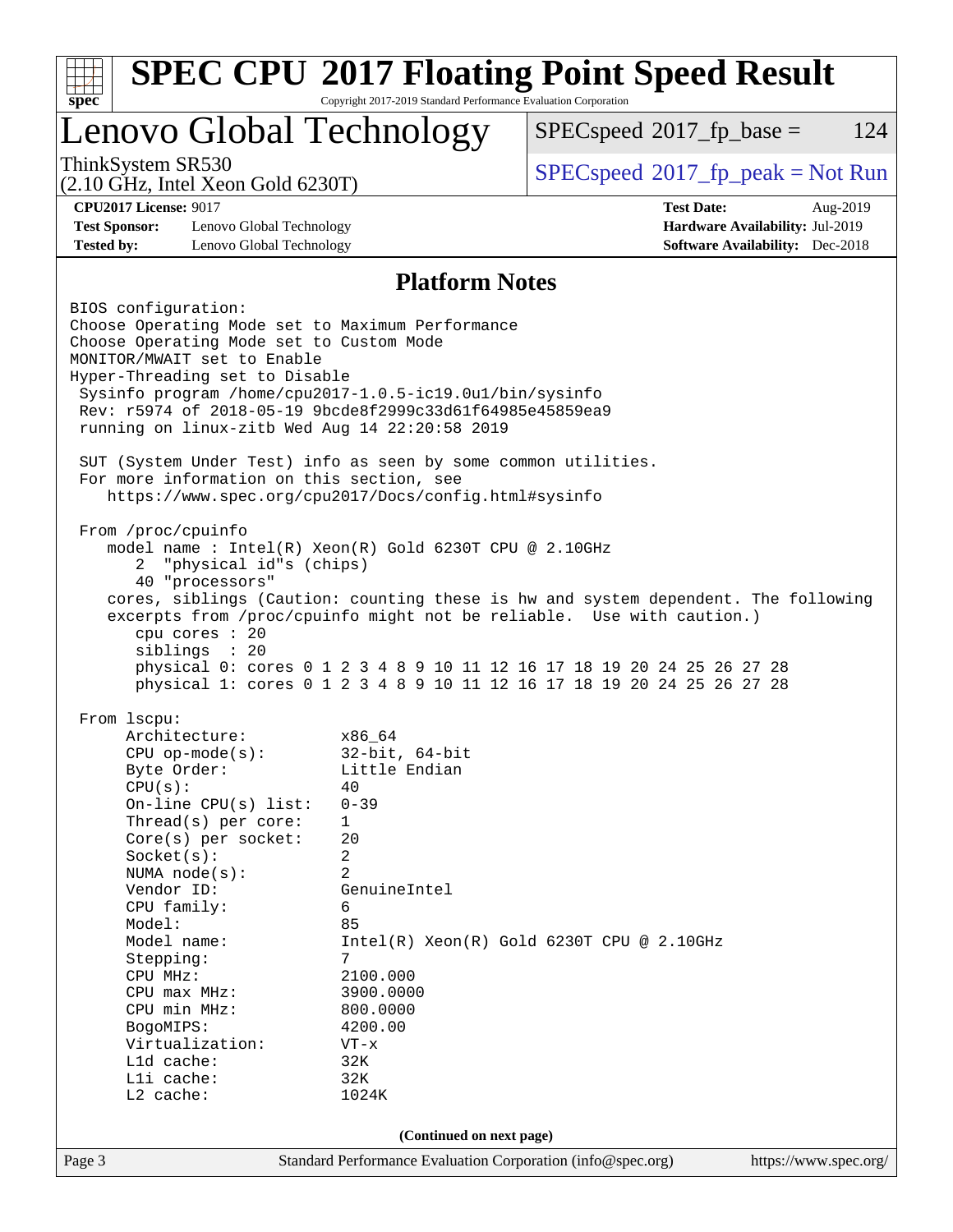|                                                                                                                                                                                                                                                                                                                                                                 | Lenovo Global Technology | $SPEC speed^{\circ}2017\_fp\_base =$                                                                                                                        | 124 |  |  |  |
|-----------------------------------------------------------------------------------------------------------------------------------------------------------------------------------------------------------------------------------------------------------------------------------------------------------------------------------------------------------------|--------------------------|-------------------------------------------------------------------------------------------------------------------------------------------------------------|-----|--|--|--|
| ThinkSystem SR530<br>$(2.10 \text{ GHz}, \text{Intel Xeon Gold } 6230 \text{T})$                                                                                                                                                                                                                                                                                |                          | $SPEC speed^{\circ}2017\_fp\_peak = Not Run$                                                                                                                |     |  |  |  |
| <b>CPU2017 License: 9017</b>                                                                                                                                                                                                                                                                                                                                    |                          | <b>Test Date:</b><br>Aug-2019                                                                                                                               |     |  |  |  |
| <b>Test Sponsor:</b><br>Lenovo Global Technology                                                                                                                                                                                                                                                                                                                |                          | Hardware Availability: Jul-2019                                                                                                                             |     |  |  |  |
| <b>Tested by:</b><br>Lenovo Global Technology                                                                                                                                                                                                                                                                                                                   |                          | <b>Software Availability:</b> Dec-2018                                                                                                                      |     |  |  |  |
|                                                                                                                                                                                                                                                                                                                                                                 | <b>Platform Notes</b>    |                                                                                                                                                             |     |  |  |  |
| BIOS configuration:<br>Choose Operating Mode set to Maximum Performance<br>Choose Operating Mode set to Custom Mode<br>MONITOR/MWAIT set to Enable<br>Hyper-Threading set to Disable<br>Sysinfo program /home/cpu2017-1.0.5-ic19.0ul/bin/sysinfo<br>Rev: r5974 of 2018-05-19 9bcde8f2999c33d61f64985e45859ea9<br>running on linux-zitb Wed Aug 14 22:20:58 2019 |                          |                                                                                                                                                             |     |  |  |  |
| SUT (System Under Test) info as seen by some common utilities.<br>For more information on this section, see<br>https://www.spec.org/cpu2017/Docs/config.html#sysinfo                                                                                                                                                                                            |                          |                                                                                                                                                             |     |  |  |  |
| From /proc/cpuinfo<br>model name : Intel(R) Xeon(R) Gold 6230T CPU @ 2.10GHz<br>"physical id"s (chips)<br>2<br>40 "processors"<br>cpu cores : 20                                                                                                                                                                                                                |                          | cores, siblings (Caution: counting these is hw and system dependent. The following<br>excerpts from /proc/cpuinfo might not be reliable. Use with caution.) |     |  |  |  |
| siblings : 20                                                                                                                                                                                                                                                                                                                                                   |                          | physical 0: cores 0 1 2 3 4 8 9 10 11 12 16 17 18 19 20 24 25 26 27 28                                                                                      |     |  |  |  |
| From lscpu:                                                                                                                                                                                                                                                                                                                                                     |                          | physical 1: cores 0 1 2 3 4 8 9 10 11 12 16 17 18 19 20 24 25 26 27 28                                                                                      |     |  |  |  |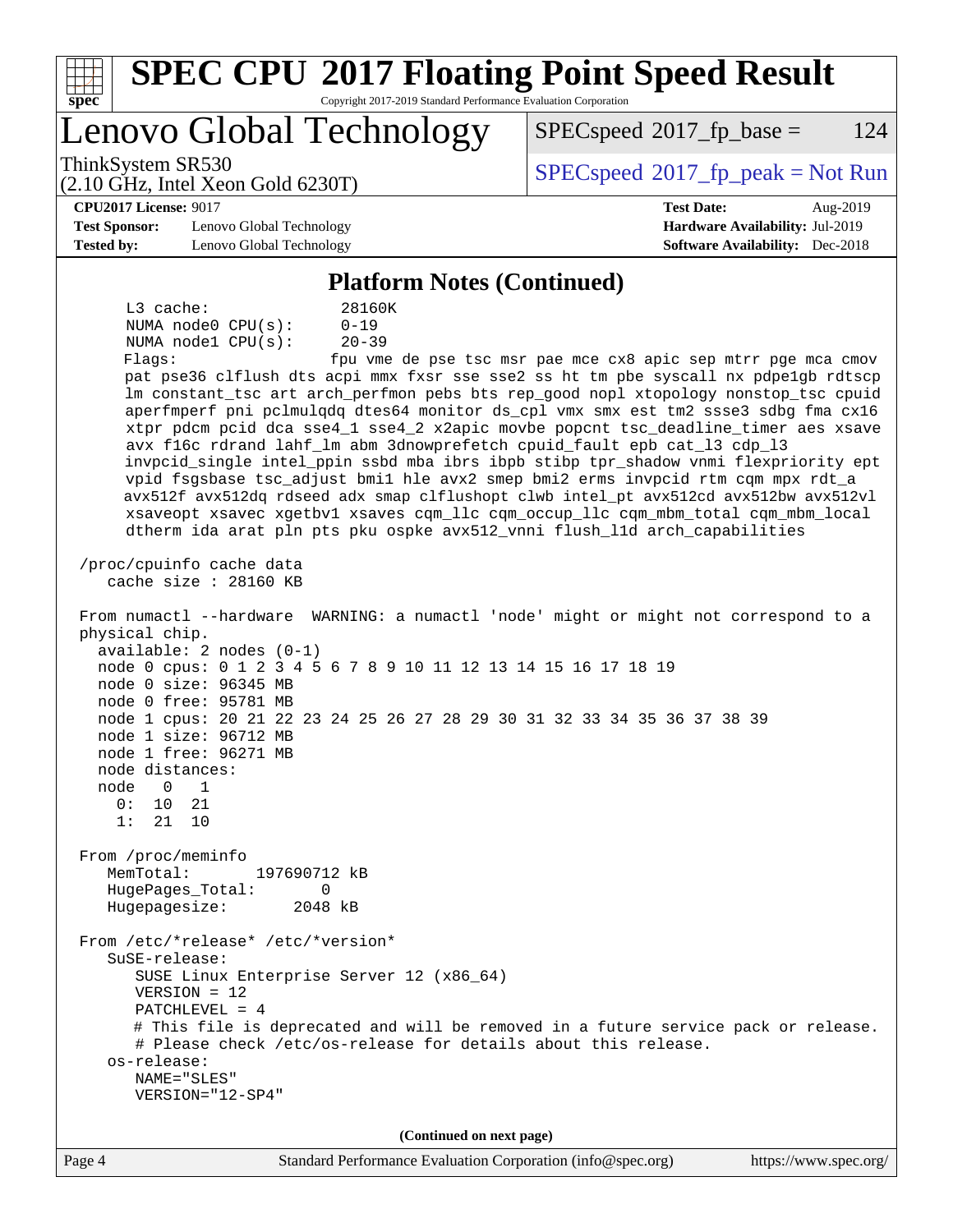| <b>SPEC CPU®2017 Floating Point Speed Result</b><br>Copyright 2017-2019 Standard Performance Evaluation Corporation<br>spec®                                                                                                                                                                                                                                                                                                                                                                                                                                                                                                                                                                                                                                                                                                                                                                                                                                                                                                                                                                                                                                                                                                                                                                                                                                                                                                                                                                                                                                                                                                                                                                                                                                                                                                                                                                                                                                           |                                                                                                            |  |  |  |  |  |  |
|------------------------------------------------------------------------------------------------------------------------------------------------------------------------------------------------------------------------------------------------------------------------------------------------------------------------------------------------------------------------------------------------------------------------------------------------------------------------------------------------------------------------------------------------------------------------------------------------------------------------------------------------------------------------------------------------------------------------------------------------------------------------------------------------------------------------------------------------------------------------------------------------------------------------------------------------------------------------------------------------------------------------------------------------------------------------------------------------------------------------------------------------------------------------------------------------------------------------------------------------------------------------------------------------------------------------------------------------------------------------------------------------------------------------------------------------------------------------------------------------------------------------------------------------------------------------------------------------------------------------------------------------------------------------------------------------------------------------------------------------------------------------------------------------------------------------------------------------------------------------------------------------------------------------------------------------------------------------|------------------------------------------------------------------------------------------------------------|--|--|--|--|--|--|
| Lenovo Global Technology                                                                                                                                                                                                                                                                                                                                                                                                                                                                                                                                                                                                                                                                                                                                                                                                                                                                                                                                                                                                                                                                                                                                                                                                                                                                                                                                                                                                                                                                                                                                                                                                                                                                                                                                                                                                                                                                                                                                               | $SPEC speed^{\circ}2017$ _fp_base =<br>124                                                                 |  |  |  |  |  |  |
| ThinkSystem SR530<br>$(2.10 \text{ GHz}, \text{Intel Xeon Gold } 6230 \text{T})$                                                                                                                                                                                                                                                                                                                                                                                                                                                                                                                                                                                                                                                                                                                                                                                                                                                                                                                                                                                                                                                                                                                                                                                                                                                                                                                                                                                                                                                                                                                                                                                                                                                                                                                                                                                                                                                                                       | $SPEC speed$ <sup>®</sup> 2017_fp_peak = Not Run                                                           |  |  |  |  |  |  |
| <b>CPU2017 License: 9017</b><br><b>Test Sponsor:</b><br>Lenovo Global Technology<br><b>Tested by:</b><br>Lenovo Global Technology                                                                                                                                                                                                                                                                                                                                                                                                                                                                                                                                                                                                                                                                                                                                                                                                                                                                                                                                                                                                                                                                                                                                                                                                                                                                                                                                                                                                                                                                                                                                                                                                                                                                                                                                                                                                                                      | <b>Test Date:</b><br>Aug-2019<br>Hardware Availability: Jul-2019<br><b>Software Availability:</b> Dec-2018 |  |  |  |  |  |  |
| <b>Platform Notes (Continued)</b>                                                                                                                                                                                                                                                                                                                                                                                                                                                                                                                                                                                                                                                                                                                                                                                                                                                                                                                                                                                                                                                                                                                                                                                                                                                                                                                                                                                                                                                                                                                                                                                                                                                                                                                                                                                                                                                                                                                                      |                                                                                                            |  |  |  |  |  |  |
| L3 cache:<br>28160K<br>NUMA $node0$ $CPU(s)$ :<br>$0 - 19$<br>NUMA nodel CPU(s):<br>$20 - 39$<br>Flags:<br>pat pse36 clflush dts acpi mmx fxsr sse sse2 ss ht tm pbe syscall nx pdpelgb rdtscp<br>lm constant_tsc art arch_perfmon pebs bts rep_good nopl xtopology nonstop_tsc cpuid<br>aperfmperf pni pclmulqdq dtes64 monitor ds_cpl vmx smx est tm2 ssse3 sdbg fma cx16<br>xtpr pdcm pcid dca sse4_1 sse4_2 x2apic movbe popcnt tsc_deadline_timer aes xsave<br>avx f16c rdrand lahf_lm abm 3dnowprefetch cpuid_fault epb cat_13 cdp_13<br>invpcid_single intel_ppin ssbd mba ibrs ibpb stibp tpr_shadow vnmi flexpriority ept<br>vpid fsgsbase tsc_adjust bmil hle avx2 smep bmi2 erms invpcid rtm cqm mpx rdt_a<br>avx512f avx512dq rdseed adx smap clflushopt clwb intel_pt avx512cd avx512bw avx512vl<br>xsaveopt xsavec xgetbvl xsaves cqm_llc cqm_occup_llc cqm_mbm_total cqm_mbm_local<br>dtherm ida arat pln pts pku ospke avx512_vnni flush_lld arch_capabilities<br>/proc/cpuinfo cache data<br>cache size : 28160 KB<br>From numactl --hardware WARNING: a numactl 'node' might or might not correspond to a<br>physical chip.<br>$available: 2 nodes (0-1)$<br>node 0 cpus: 0 1 2 3 4 5 6 7 8 9 10 11 12 13 14 15 16 17 18 19<br>node 0 size: 96345 MB<br>node 0 free: 95781 MB<br>node 1 cpus: 20 21 22 23 24 25 26 27 28 29 30 31 32 33 34 35 36 37 38 39<br>node 1 size: 96712 MB<br>node 1 free: 96271 MB<br>node distances:<br>node<br>$\Omega$<br>1<br>0:<br>10<br>21<br>1:<br>21<br>10<br>From /proc/meminfo<br>MemTotal:<br>197690712 kB<br>HugePages_Total:<br>0<br>Hugepagesize:<br>2048 kB<br>From /etc/*release* /etc/*version*<br>SuSE-release:<br>SUSE Linux Enterprise Server 12 (x86_64)<br>$VERSION = 12$<br>PATCHLEVEL = 4<br># This file is deprecated and will be removed in a future service pack or release.<br># Please check /etc/os-release for details about this release.<br>os-release:<br>NAME="SLES"<br>VERSION="12-SP4" | fpu vme de pse tsc msr pae mce cx8 apic sep mtrr pge mca cmov                                              |  |  |  |  |  |  |
| (Continued on next page)                                                                                                                                                                                                                                                                                                                                                                                                                                                                                                                                                                                                                                                                                                                                                                                                                                                                                                                                                                                                                                                                                                                                                                                                                                                                                                                                                                                                                                                                                                                                                                                                                                                                                                                                                                                                                                                                                                                                               |                                                                                                            |  |  |  |  |  |  |
| Page 4<br>Standard Performance Evaluation Corporation (info@spec.org)                                                                                                                                                                                                                                                                                                                                                                                                                                                                                                                                                                                                                                                                                                                                                                                                                                                                                                                                                                                                                                                                                                                                                                                                                                                                                                                                                                                                                                                                                                                                                                                                                                                                                                                                                                                                                                                                                                  | https://www.spec.org/                                                                                      |  |  |  |  |  |  |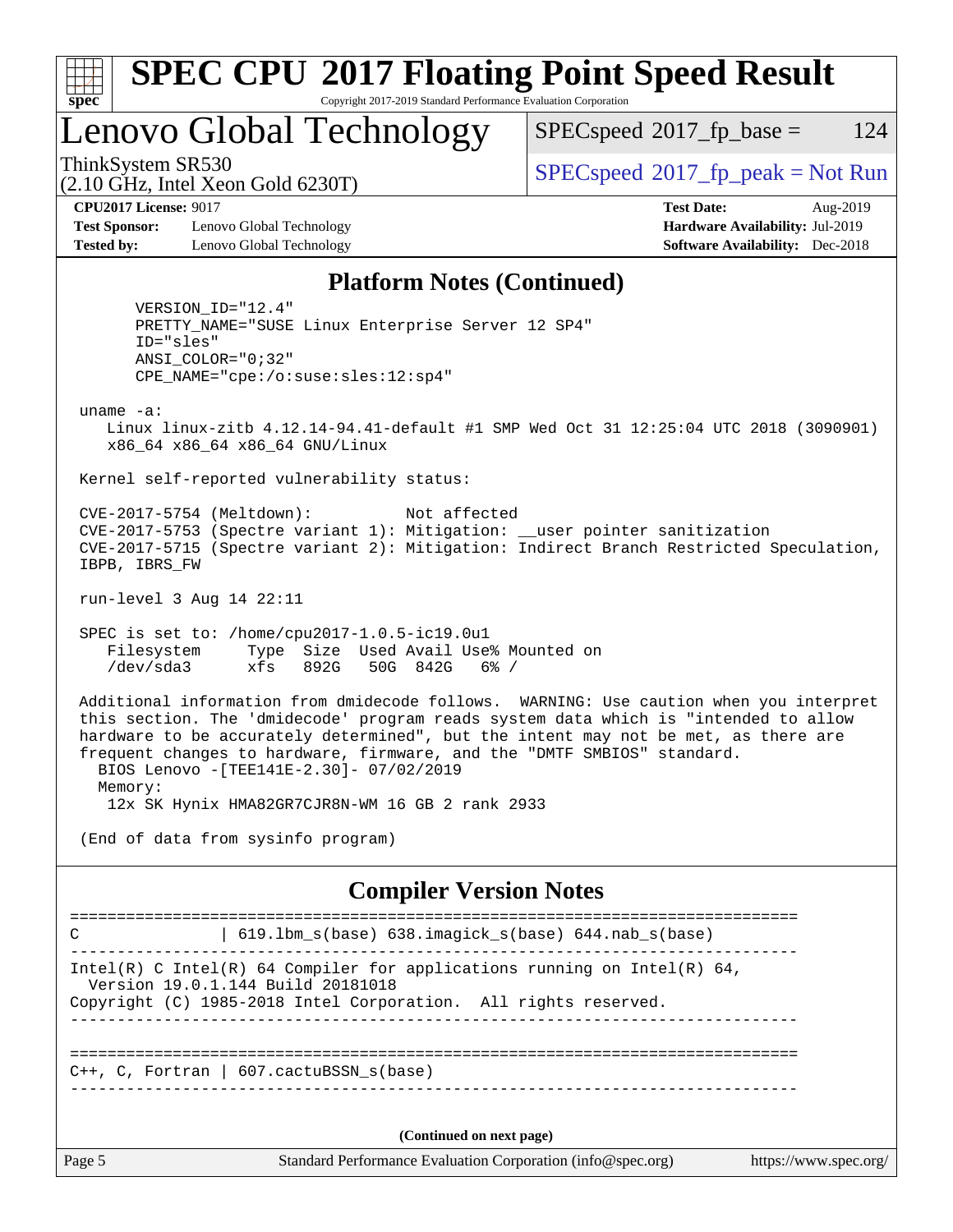

# **[SPEC CPU](http://www.spec.org/auto/cpu2017/Docs/result-fields.html#SPECCPU2017FloatingPointSpeedResult)[2017 Floating Point Speed Result](http://www.spec.org/auto/cpu2017/Docs/result-fields.html#SPECCPU2017FloatingPointSpeedResult)**

Copyright 2017-2019 Standard Performance Evaluation Corporation

Lenovo Global Technology

 $SPECspeed^{\circledcirc}2017_fp\_base = 124$  $SPECspeed^{\circledcirc}2017_fp\_base = 124$ 

(2.10 GHz, Intel Xeon Gold 6230T)

ThinkSystem SR530<br>  $SPEC speed^{\circ}2017$  [p\_peak = Not Run

**[CPU2017 License:](http://www.spec.org/auto/cpu2017/Docs/result-fields.html#CPU2017License)** 9017 **[Test Date:](http://www.spec.org/auto/cpu2017/Docs/result-fields.html#TestDate)** Aug-2019

**[Test Sponsor:](http://www.spec.org/auto/cpu2017/Docs/result-fields.html#TestSponsor)** Lenovo Global Technology **[Hardware Availability:](http://www.spec.org/auto/cpu2017/Docs/result-fields.html#HardwareAvailability)** Jul-2019 **[Tested by:](http://www.spec.org/auto/cpu2017/Docs/result-fields.html#Testedby)** Lenovo Global Technology **[Software Availability:](http://www.spec.org/auto/cpu2017/Docs/result-fields.html#SoftwareAvailability)** Dec-2018

### **[Platform Notes \(Continued\)](http://www.spec.org/auto/cpu2017/Docs/result-fields.html#PlatformNotes)**

 VERSION\_ID="12.4" PRETTY\_NAME="SUSE Linux Enterprise Server 12 SP4" ID="sles" ANSI\_COLOR="0;32" CPE\_NAME="cpe:/o:suse:sles:12:sp4"

uname -a:

 Linux linux-zitb 4.12.14-94.41-default #1 SMP Wed Oct 31 12:25:04 UTC 2018 (3090901) x86\_64 x86\_64 x86\_64 GNU/Linux

Kernel self-reported vulnerability status:

 CVE-2017-5754 (Meltdown): Not affected CVE-2017-5753 (Spectre variant 1): Mitigation: \_\_user pointer sanitization CVE-2017-5715 (Spectre variant 2): Mitigation: Indirect Branch Restricted Speculation, IBPB, IBRS\_FW

run-level 3 Aug 14 22:11

 SPEC is set to: /home/cpu2017-1.0.5-ic19.0u1 Filesystem Type Size Used Avail Use% Mounted on /dev/sda3 xfs 892G 50G 842G 6% /

 Additional information from dmidecode follows. WARNING: Use caution when you interpret this section. The 'dmidecode' program reads system data which is "intended to allow hardware to be accurately determined", but the intent may not be met, as there are frequent changes to hardware, firmware, and the "DMTF SMBIOS" standard. BIOS Lenovo -[TEE141E-2.30]- 07/02/2019 Memory:

12x SK Hynix HMA82GR7CJR8N-WM 16 GB 2 rank 2933

(End of data from sysinfo program)

### **[Compiler Version Notes](http://www.spec.org/auto/cpu2017/Docs/result-fields.html#CompilerVersionNotes)**

Page 5 Standard Performance Evaluation Corporation [\(info@spec.org\)](mailto:info@spec.org) <https://www.spec.org/> ============================================================================== C | 619.lbm\_s(base) 638.imagick\_s(base) 644.nab\_s(base) ------------------------------------------------------------------------------ Intel(R) C Intel(R) 64 Compiler for applications running on Intel(R)  $64$ , Version 19.0.1.144 Build 20181018 Copyright (C) 1985-2018 Intel Corporation. All rights reserved. ------------------------------------------------------------------------------ ==============================================================================  $C_{++}$ , C, Fortran | 607.cactuBSSN s(base) ------------------------------------------------------------------------------ **(Continued on next page)**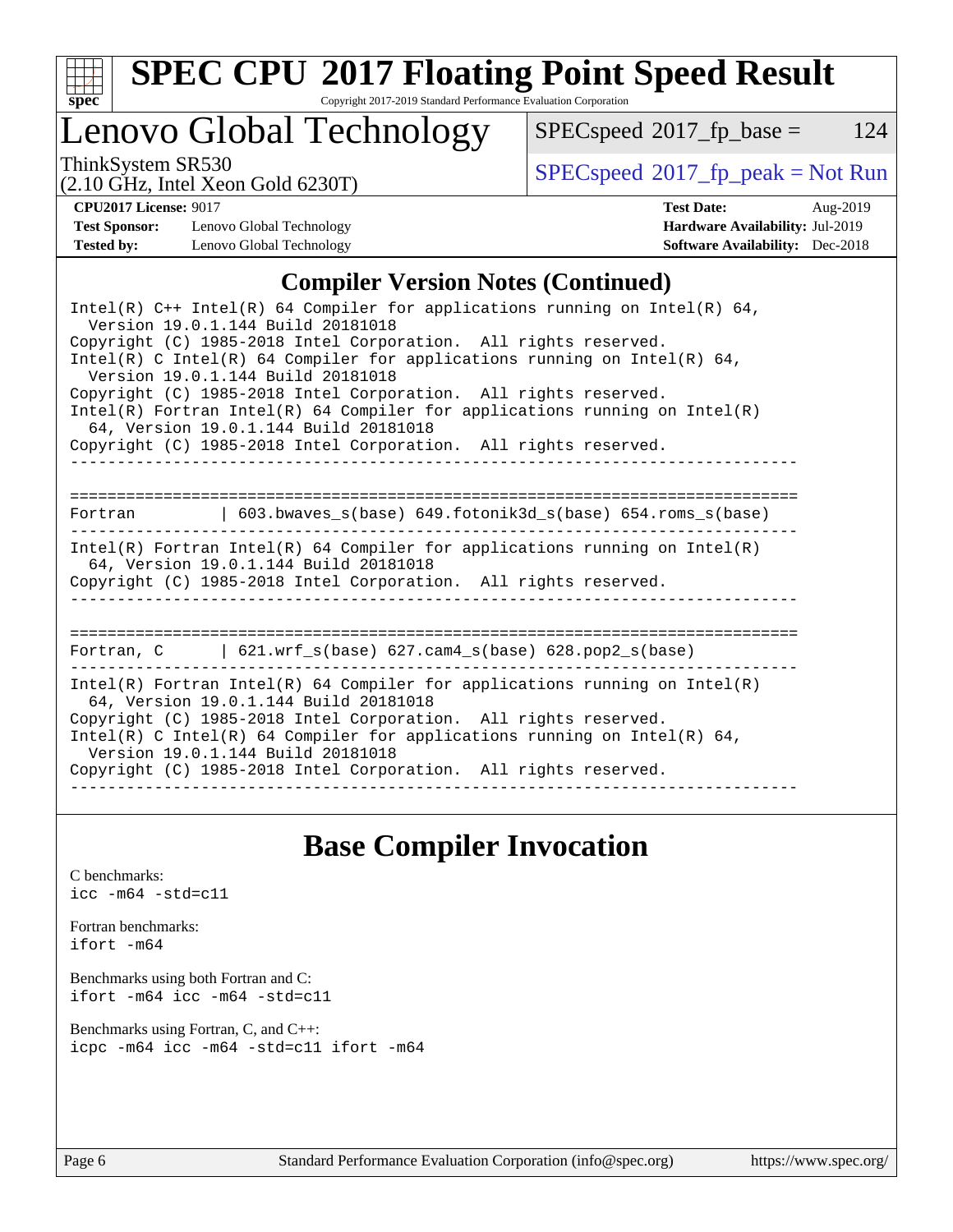

# **[SPEC CPU](http://www.spec.org/auto/cpu2017/Docs/result-fields.html#SPECCPU2017FloatingPointSpeedResult)[2017 Floating Point Speed Result](http://www.spec.org/auto/cpu2017/Docs/result-fields.html#SPECCPU2017FloatingPointSpeedResult)**

Copyright 2017-2019 Standard Performance Evaluation Corporation

# Lenovo Global Technology

 $SPECspeed^{\circ}2017_fp\_base = 124$  $SPECspeed^{\circ}2017_fp\_base = 124$ 

(2.10 GHz, Intel Xeon Gold 6230T)

ThinkSystem SR530<br>  $\begin{array}{c}\n\text{SPEC speed} \text{?} 2017 \text{ fp}_\text{peak} = \text{Not Run} \\
\text{SPEC speed} \text{?} 2017 \text{ fp}_\text{peak} = \text{Not Run} \\
\end{array}$ 

**[Test Sponsor:](http://www.spec.org/auto/cpu2017/Docs/result-fields.html#TestSponsor)** Lenovo Global Technology **[Hardware Availability:](http://www.spec.org/auto/cpu2017/Docs/result-fields.html#HardwareAvailability)** Jul-2019 **[Tested by:](http://www.spec.org/auto/cpu2017/Docs/result-fields.html#Testedby)** Lenovo Global Technology **[Software Availability:](http://www.spec.org/auto/cpu2017/Docs/result-fields.html#SoftwareAvailability)** Dec-2018

**[CPU2017 License:](http://www.spec.org/auto/cpu2017/Docs/result-fields.html#CPU2017License)** 9017 **[Test Date:](http://www.spec.org/auto/cpu2017/Docs/result-fields.html#TestDate)** Aug-2019

### **[Compiler Version Notes \(Continued\)](http://www.spec.org/auto/cpu2017/Docs/result-fields.html#CompilerVersionNotes)**

## **[Base Compiler Invocation](http://www.spec.org/auto/cpu2017/Docs/result-fields.html#BaseCompilerInvocation)**

[C benchmarks](http://www.spec.org/auto/cpu2017/Docs/result-fields.html#Cbenchmarks): [icc -m64 -std=c11](http://www.spec.org/cpu2017/results/res2019q3/cpu2017-20190902-17586.flags.html#user_CCbase_intel_icc_64bit_c11_33ee0cdaae7deeeab2a9725423ba97205ce30f63b9926c2519791662299b76a0318f32ddfffdc46587804de3178b4f9328c46fa7c2b0cd779d7a61945c91cd35)

[Fortran benchmarks](http://www.spec.org/auto/cpu2017/Docs/result-fields.html#Fortranbenchmarks): [ifort -m64](http://www.spec.org/cpu2017/results/res2019q3/cpu2017-20190902-17586.flags.html#user_FCbase_intel_ifort_64bit_24f2bb282fbaeffd6157abe4f878425411749daecae9a33200eee2bee2fe76f3b89351d69a8130dd5949958ce389cf37ff59a95e7a40d588e8d3a57e0c3fd751)

[Benchmarks using both Fortran and C](http://www.spec.org/auto/cpu2017/Docs/result-fields.html#BenchmarksusingbothFortranandC): [ifort -m64](http://www.spec.org/cpu2017/results/res2019q3/cpu2017-20190902-17586.flags.html#user_CC_FCbase_intel_ifort_64bit_24f2bb282fbaeffd6157abe4f878425411749daecae9a33200eee2bee2fe76f3b89351d69a8130dd5949958ce389cf37ff59a95e7a40d588e8d3a57e0c3fd751) [icc -m64 -std=c11](http://www.spec.org/cpu2017/results/res2019q3/cpu2017-20190902-17586.flags.html#user_CC_FCbase_intel_icc_64bit_c11_33ee0cdaae7deeeab2a9725423ba97205ce30f63b9926c2519791662299b76a0318f32ddfffdc46587804de3178b4f9328c46fa7c2b0cd779d7a61945c91cd35)

[Benchmarks using Fortran, C, and C++:](http://www.spec.org/auto/cpu2017/Docs/result-fields.html#BenchmarksusingFortranCandCXX) [icpc -m64](http://www.spec.org/cpu2017/results/res2019q3/cpu2017-20190902-17586.flags.html#user_CC_CXX_FCbase_intel_icpc_64bit_4ecb2543ae3f1412ef961e0650ca070fec7b7afdcd6ed48761b84423119d1bf6bdf5cad15b44d48e7256388bc77273b966e5eb805aefd121eb22e9299b2ec9d9) [icc -m64 -std=c11](http://www.spec.org/cpu2017/results/res2019q3/cpu2017-20190902-17586.flags.html#user_CC_CXX_FCbase_intel_icc_64bit_c11_33ee0cdaae7deeeab2a9725423ba97205ce30f63b9926c2519791662299b76a0318f32ddfffdc46587804de3178b4f9328c46fa7c2b0cd779d7a61945c91cd35) [ifort -m64](http://www.spec.org/cpu2017/results/res2019q3/cpu2017-20190902-17586.flags.html#user_CC_CXX_FCbase_intel_ifort_64bit_24f2bb282fbaeffd6157abe4f878425411749daecae9a33200eee2bee2fe76f3b89351d69a8130dd5949958ce389cf37ff59a95e7a40d588e8d3a57e0c3fd751)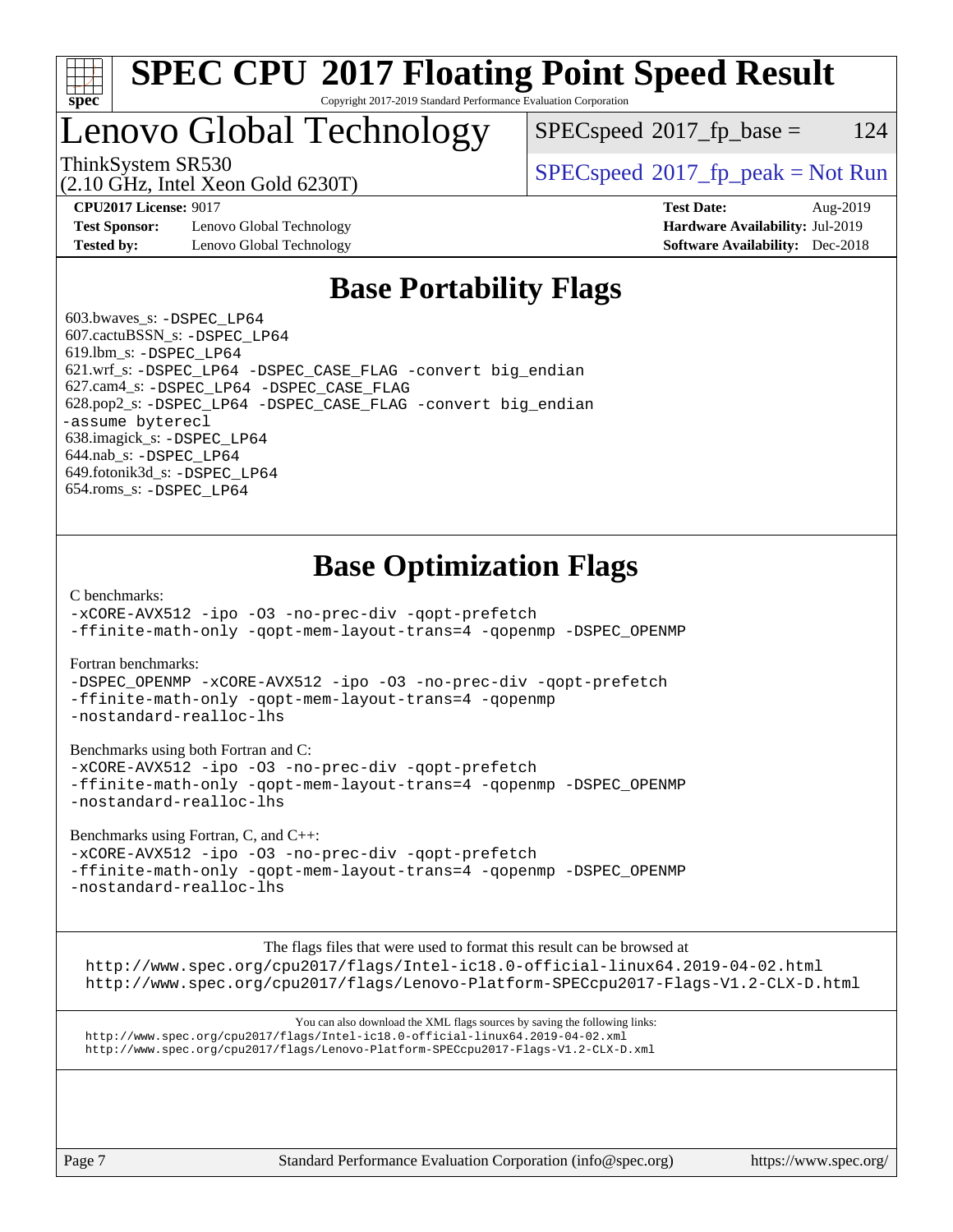

### **[SPEC CPU](http://www.spec.org/auto/cpu2017/Docs/result-fields.html#SPECCPU2017FloatingPointSpeedResult)[2017 Floating Point Speed Result](http://www.spec.org/auto/cpu2017/Docs/result-fields.html#SPECCPU2017FloatingPointSpeedResult)** Copyright 2017-2019 Standard Performance Evaluation Corporation

# Lenovo Global Technology

(2.10 GHz, Intel Xeon Gold 6230T)

 $SPEC speed^{\circ}2017\_fp\_base = 124$ 

ThinkSystem SR530<br>  $SPEC speed^{\circ}2017$  [p\_peak = Not Run

**[Test Sponsor:](http://www.spec.org/auto/cpu2017/Docs/result-fields.html#TestSponsor)** Lenovo Global Technology **[Hardware Availability:](http://www.spec.org/auto/cpu2017/Docs/result-fields.html#HardwareAvailability)** Jul-2019 **[Tested by:](http://www.spec.org/auto/cpu2017/Docs/result-fields.html#Testedby)** Lenovo Global Technology **[Software Availability:](http://www.spec.org/auto/cpu2017/Docs/result-fields.html#SoftwareAvailability)** Dec-2018

**[CPU2017 License:](http://www.spec.org/auto/cpu2017/Docs/result-fields.html#CPU2017License)** 9017 **[Test Date:](http://www.spec.org/auto/cpu2017/Docs/result-fields.html#TestDate)** Aug-2019

## **[Base Portability Flags](http://www.spec.org/auto/cpu2017/Docs/result-fields.html#BasePortabilityFlags)**

 603.bwaves\_s: [-DSPEC\\_LP64](http://www.spec.org/cpu2017/results/res2019q3/cpu2017-20190902-17586.flags.html#suite_basePORTABILITY603_bwaves_s_DSPEC_LP64) 607.cactuBSSN\_s: [-DSPEC\\_LP64](http://www.spec.org/cpu2017/results/res2019q3/cpu2017-20190902-17586.flags.html#suite_basePORTABILITY607_cactuBSSN_s_DSPEC_LP64) 619.lbm\_s: [-DSPEC\\_LP64](http://www.spec.org/cpu2017/results/res2019q3/cpu2017-20190902-17586.flags.html#suite_basePORTABILITY619_lbm_s_DSPEC_LP64) 621.wrf\_s: [-DSPEC\\_LP64](http://www.spec.org/cpu2017/results/res2019q3/cpu2017-20190902-17586.flags.html#suite_basePORTABILITY621_wrf_s_DSPEC_LP64) [-DSPEC\\_CASE\\_FLAG](http://www.spec.org/cpu2017/results/res2019q3/cpu2017-20190902-17586.flags.html#b621.wrf_s_baseCPORTABILITY_DSPEC_CASE_FLAG) [-convert big\\_endian](http://www.spec.org/cpu2017/results/res2019q3/cpu2017-20190902-17586.flags.html#user_baseFPORTABILITY621_wrf_s_convert_big_endian_c3194028bc08c63ac5d04de18c48ce6d347e4e562e8892b8bdbdc0214820426deb8554edfa529a3fb25a586e65a3d812c835984020483e7e73212c4d31a38223) 627.cam4\_s: [-DSPEC\\_LP64](http://www.spec.org/cpu2017/results/res2019q3/cpu2017-20190902-17586.flags.html#suite_basePORTABILITY627_cam4_s_DSPEC_LP64) [-DSPEC\\_CASE\\_FLAG](http://www.spec.org/cpu2017/results/res2019q3/cpu2017-20190902-17586.flags.html#b627.cam4_s_baseCPORTABILITY_DSPEC_CASE_FLAG) 628.pop2\_s: [-DSPEC\\_LP64](http://www.spec.org/cpu2017/results/res2019q3/cpu2017-20190902-17586.flags.html#suite_basePORTABILITY628_pop2_s_DSPEC_LP64) [-DSPEC\\_CASE\\_FLAG](http://www.spec.org/cpu2017/results/res2019q3/cpu2017-20190902-17586.flags.html#b628.pop2_s_baseCPORTABILITY_DSPEC_CASE_FLAG) [-convert big\\_endian](http://www.spec.org/cpu2017/results/res2019q3/cpu2017-20190902-17586.flags.html#user_baseFPORTABILITY628_pop2_s_convert_big_endian_c3194028bc08c63ac5d04de18c48ce6d347e4e562e8892b8bdbdc0214820426deb8554edfa529a3fb25a586e65a3d812c835984020483e7e73212c4d31a38223) [-assume byterecl](http://www.spec.org/cpu2017/results/res2019q3/cpu2017-20190902-17586.flags.html#user_baseFPORTABILITY628_pop2_s_assume_byterecl_7e47d18b9513cf18525430bbf0f2177aa9bf368bc7a059c09b2c06a34b53bd3447c950d3f8d6c70e3faf3a05c8557d66a5798b567902e8849adc142926523472) 638.imagick\_s: [-DSPEC\\_LP64](http://www.spec.org/cpu2017/results/res2019q3/cpu2017-20190902-17586.flags.html#suite_basePORTABILITY638_imagick_s_DSPEC_LP64) 644.nab\_s: [-DSPEC\\_LP64](http://www.spec.org/cpu2017/results/res2019q3/cpu2017-20190902-17586.flags.html#suite_basePORTABILITY644_nab_s_DSPEC_LP64) 649.fotonik3d\_s: [-DSPEC\\_LP64](http://www.spec.org/cpu2017/results/res2019q3/cpu2017-20190902-17586.flags.html#suite_basePORTABILITY649_fotonik3d_s_DSPEC_LP64) 654.roms\_s: [-DSPEC\\_LP64](http://www.spec.org/cpu2017/results/res2019q3/cpu2017-20190902-17586.flags.html#suite_basePORTABILITY654_roms_s_DSPEC_LP64)

# **[Base Optimization Flags](http://www.spec.org/auto/cpu2017/Docs/result-fields.html#BaseOptimizationFlags)**

[C benchmarks](http://www.spec.org/auto/cpu2017/Docs/result-fields.html#Cbenchmarks):

[-xCORE-AVX512](http://www.spec.org/cpu2017/results/res2019q3/cpu2017-20190902-17586.flags.html#user_CCbase_f-xCORE-AVX512) [-ipo](http://www.spec.org/cpu2017/results/res2019q3/cpu2017-20190902-17586.flags.html#user_CCbase_f-ipo) [-O3](http://www.spec.org/cpu2017/results/res2019q3/cpu2017-20190902-17586.flags.html#user_CCbase_f-O3) [-no-prec-div](http://www.spec.org/cpu2017/results/res2019q3/cpu2017-20190902-17586.flags.html#user_CCbase_f-no-prec-div) [-qopt-prefetch](http://www.spec.org/cpu2017/results/res2019q3/cpu2017-20190902-17586.flags.html#user_CCbase_f-qopt-prefetch) [-ffinite-math-only](http://www.spec.org/cpu2017/results/res2019q3/cpu2017-20190902-17586.flags.html#user_CCbase_f_finite_math_only_cb91587bd2077682c4b38af759c288ed7c732db004271a9512da14a4f8007909a5f1427ecbf1a0fb78ff2a814402c6114ac565ca162485bbcae155b5e4258871) [-qopt-mem-layout-trans=4](http://www.spec.org/cpu2017/results/res2019q3/cpu2017-20190902-17586.flags.html#user_CCbase_f-qopt-mem-layout-trans_fa39e755916c150a61361b7846f310bcdf6f04e385ef281cadf3647acec3f0ae266d1a1d22d972a7087a248fd4e6ca390a3634700869573d231a252c784941a8) [-qopenmp](http://www.spec.org/cpu2017/results/res2019q3/cpu2017-20190902-17586.flags.html#user_CCbase_qopenmp_16be0c44f24f464004c6784a7acb94aca937f053568ce72f94b139a11c7c168634a55f6653758ddd83bcf7b8463e8028bb0b48b77bcddc6b78d5d95bb1df2967) [-DSPEC\\_OPENMP](http://www.spec.org/cpu2017/results/res2019q3/cpu2017-20190902-17586.flags.html#suite_CCbase_DSPEC_OPENMP)

[Fortran benchmarks](http://www.spec.org/auto/cpu2017/Docs/result-fields.html#Fortranbenchmarks):

[-DSPEC\\_OPENMP](http://www.spec.org/cpu2017/results/res2019q3/cpu2017-20190902-17586.flags.html#suite_FCbase_DSPEC_OPENMP) [-xCORE-AVX512](http://www.spec.org/cpu2017/results/res2019q3/cpu2017-20190902-17586.flags.html#user_FCbase_f-xCORE-AVX512) [-ipo](http://www.spec.org/cpu2017/results/res2019q3/cpu2017-20190902-17586.flags.html#user_FCbase_f-ipo) [-O3](http://www.spec.org/cpu2017/results/res2019q3/cpu2017-20190902-17586.flags.html#user_FCbase_f-O3) [-no-prec-div](http://www.spec.org/cpu2017/results/res2019q3/cpu2017-20190902-17586.flags.html#user_FCbase_f-no-prec-div) [-qopt-prefetch](http://www.spec.org/cpu2017/results/res2019q3/cpu2017-20190902-17586.flags.html#user_FCbase_f-qopt-prefetch) [-ffinite-math-only](http://www.spec.org/cpu2017/results/res2019q3/cpu2017-20190902-17586.flags.html#user_FCbase_f_finite_math_only_cb91587bd2077682c4b38af759c288ed7c732db004271a9512da14a4f8007909a5f1427ecbf1a0fb78ff2a814402c6114ac565ca162485bbcae155b5e4258871) [-qopt-mem-layout-trans=4](http://www.spec.org/cpu2017/results/res2019q3/cpu2017-20190902-17586.flags.html#user_FCbase_f-qopt-mem-layout-trans_fa39e755916c150a61361b7846f310bcdf6f04e385ef281cadf3647acec3f0ae266d1a1d22d972a7087a248fd4e6ca390a3634700869573d231a252c784941a8) [-qopenmp](http://www.spec.org/cpu2017/results/res2019q3/cpu2017-20190902-17586.flags.html#user_FCbase_qopenmp_16be0c44f24f464004c6784a7acb94aca937f053568ce72f94b139a11c7c168634a55f6653758ddd83bcf7b8463e8028bb0b48b77bcddc6b78d5d95bb1df2967) [-nostandard-realloc-lhs](http://www.spec.org/cpu2017/results/res2019q3/cpu2017-20190902-17586.flags.html#user_FCbase_f_2003_std_realloc_82b4557e90729c0f113870c07e44d33d6f5a304b4f63d4c15d2d0f1fab99f5daaed73bdb9275d9ae411527f28b936061aa8b9c8f2d63842963b95c9dd6426b8a)

[Benchmarks using both Fortran and C](http://www.spec.org/auto/cpu2017/Docs/result-fields.html#BenchmarksusingbothFortranandC):

[-xCORE-AVX512](http://www.spec.org/cpu2017/results/res2019q3/cpu2017-20190902-17586.flags.html#user_CC_FCbase_f-xCORE-AVX512) [-ipo](http://www.spec.org/cpu2017/results/res2019q3/cpu2017-20190902-17586.flags.html#user_CC_FCbase_f-ipo) [-O3](http://www.spec.org/cpu2017/results/res2019q3/cpu2017-20190902-17586.flags.html#user_CC_FCbase_f-O3) [-no-prec-div](http://www.spec.org/cpu2017/results/res2019q3/cpu2017-20190902-17586.flags.html#user_CC_FCbase_f-no-prec-div) [-qopt-prefetch](http://www.spec.org/cpu2017/results/res2019q3/cpu2017-20190902-17586.flags.html#user_CC_FCbase_f-qopt-prefetch) [-ffinite-math-only](http://www.spec.org/cpu2017/results/res2019q3/cpu2017-20190902-17586.flags.html#user_CC_FCbase_f_finite_math_only_cb91587bd2077682c4b38af759c288ed7c732db004271a9512da14a4f8007909a5f1427ecbf1a0fb78ff2a814402c6114ac565ca162485bbcae155b5e4258871) [-qopt-mem-layout-trans=4](http://www.spec.org/cpu2017/results/res2019q3/cpu2017-20190902-17586.flags.html#user_CC_FCbase_f-qopt-mem-layout-trans_fa39e755916c150a61361b7846f310bcdf6f04e385ef281cadf3647acec3f0ae266d1a1d22d972a7087a248fd4e6ca390a3634700869573d231a252c784941a8) [-qopenmp](http://www.spec.org/cpu2017/results/res2019q3/cpu2017-20190902-17586.flags.html#user_CC_FCbase_qopenmp_16be0c44f24f464004c6784a7acb94aca937f053568ce72f94b139a11c7c168634a55f6653758ddd83bcf7b8463e8028bb0b48b77bcddc6b78d5d95bb1df2967) [-DSPEC\\_OPENMP](http://www.spec.org/cpu2017/results/res2019q3/cpu2017-20190902-17586.flags.html#suite_CC_FCbase_DSPEC_OPENMP) [-nostandard-realloc-lhs](http://www.spec.org/cpu2017/results/res2019q3/cpu2017-20190902-17586.flags.html#user_CC_FCbase_f_2003_std_realloc_82b4557e90729c0f113870c07e44d33d6f5a304b4f63d4c15d2d0f1fab99f5daaed73bdb9275d9ae411527f28b936061aa8b9c8f2d63842963b95c9dd6426b8a)

[Benchmarks using Fortran, C, and C++:](http://www.spec.org/auto/cpu2017/Docs/result-fields.html#BenchmarksusingFortranCandCXX)

[-xCORE-AVX512](http://www.spec.org/cpu2017/results/res2019q3/cpu2017-20190902-17586.flags.html#user_CC_CXX_FCbase_f-xCORE-AVX512) [-ipo](http://www.spec.org/cpu2017/results/res2019q3/cpu2017-20190902-17586.flags.html#user_CC_CXX_FCbase_f-ipo) [-O3](http://www.spec.org/cpu2017/results/res2019q3/cpu2017-20190902-17586.flags.html#user_CC_CXX_FCbase_f-O3) [-no-prec-div](http://www.spec.org/cpu2017/results/res2019q3/cpu2017-20190902-17586.flags.html#user_CC_CXX_FCbase_f-no-prec-div) [-qopt-prefetch](http://www.spec.org/cpu2017/results/res2019q3/cpu2017-20190902-17586.flags.html#user_CC_CXX_FCbase_f-qopt-prefetch) [-ffinite-math-only](http://www.spec.org/cpu2017/results/res2019q3/cpu2017-20190902-17586.flags.html#user_CC_CXX_FCbase_f_finite_math_only_cb91587bd2077682c4b38af759c288ed7c732db004271a9512da14a4f8007909a5f1427ecbf1a0fb78ff2a814402c6114ac565ca162485bbcae155b5e4258871) [-qopt-mem-layout-trans=4](http://www.spec.org/cpu2017/results/res2019q3/cpu2017-20190902-17586.flags.html#user_CC_CXX_FCbase_f-qopt-mem-layout-trans_fa39e755916c150a61361b7846f310bcdf6f04e385ef281cadf3647acec3f0ae266d1a1d22d972a7087a248fd4e6ca390a3634700869573d231a252c784941a8) [-qopenmp](http://www.spec.org/cpu2017/results/res2019q3/cpu2017-20190902-17586.flags.html#user_CC_CXX_FCbase_qopenmp_16be0c44f24f464004c6784a7acb94aca937f053568ce72f94b139a11c7c168634a55f6653758ddd83bcf7b8463e8028bb0b48b77bcddc6b78d5d95bb1df2967) [-DSPEC\\_OPENMP](http://www.spec.org/cpu2017/results/res2019q3/cpu2017-20190902-17586.flags.html#suite_CC_CXX_FCbase_DSPEC_OPENMP) [-nostandard-realloc-lhs](http://www.spec.org/cpu2017/results/res2019q3/cpu2017-20190902-17586.flags.html#user_CC_CXX_FCbase_f_2003_std_realloc_82b4557e90729c0f113870c07e44d33d6f5a304b4f63d4c15d2d0f1fab99f5daaed73bdb9275d9ae411527f28b936061aa8b9c8f2d63842963b95c9dd6426b8a)

[The flags files that were used to format this result can be browsed at](tmsearch)

<http://www.spec.org/cpu2017/flags/Intel-ic18.0-official-linux64.2019-04-02.html> <http://www.spec.org/cpu2017/flags/Lenovo-Platform-SPECcpu2017-Flags-V1.2-CLX-D.html>

[You can also download the XML flags sources by saving the following links:](tmsearch) <http://www.spec.org/cpu2017/flags/Intel-ic18.0-official-linux64.2019-04-02.xml> <http://www.spec.org/cpu2017/flags/Lenovo-Platform-SPECcpu2017-Flags-V1.2-CLX-D.xml>